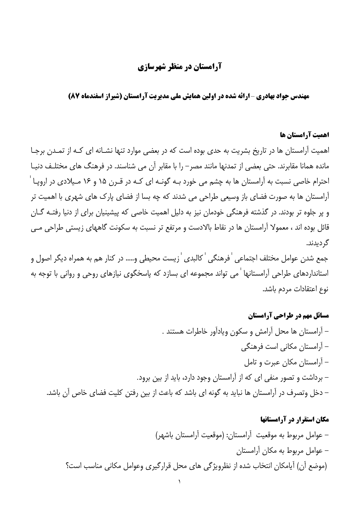## **آرامستان در منظر شهرسازی**

**مهندس جواد بهادری -ارائه شده در اولین همایش ملی مدیریت آرامستان (شیراز اسفندماه 87)** 

#### اهمیت آرامستان ها

اهمیت آرامستان ها در تاریخ بشریت به حدی بوده است که در بعضی موارد تنها نشـانه ای کـه از تمـدن برجـا مانده همانا مقابرند. حتی بعضی از تمدنها مانند مصر – را با مقابر آن می شناسند. در فرهنگ های مختلـف دنیـا احترام خاصی نسبت به آرامستان ها به چشم می خورد بـه گونـه ای کـه در قـرن ۱۵ و ۱۶ مـیلادی در اروپـا ٔ آرامستان ها به صورت فضای باز وسیعی طراحی می شدند که چه بسا از فضای پارک های شهری با اهمیت تر و پر جلوه تر بودند. در گذشته فرهنگی خودمان نیز به دلیل اهمیت خاصی که پیشینیان برای از دنیا رفتـه گـان قائل بوده اند ، معمولا آرامستان ها در نقاط بالادست و مرتفع تر نسبت به سکونت گاههای زیستی طراحی مــی گرديدند.

جمع شدن عوامل مختلف اجتماعي ˈ فرهنگي ˈ كالبدى ˈ زيست محيطي و..... در كنار هم به همراه ديگر اصول و استانداردهای طراحی آرامستانها ٰ می تواند مجموعه ای بسازد که پاسخگوی نیازهای روحی و روانی با توجه به نوع اعتقادات مردم باشد.

مسائل مهم در طراحی آرامستان – آرامستان ها محل آرامش و سکون ویادآور خاطرات هستند . – آرامستان مکانی است فرهنگی – آرامستان مکان عبرت و تامل – برداشت و تصور منفی ای که از آرامستان وجود دارد، باید از بین برود. – دخل وتصرف در آرامستان ها نباید به گونه ای باشد که باعث از بین رفتن کلیت فضای خاص آن باشد.

# مکان استقرار در آرامستانها – عوامل مربوط به موقعيت أرامستان: (موقعيت أرامستان باشهر) – عوامل مربوط به مکان آرامستان (موضع أن) أيامكان انتخاب شده از نظرويژگي هاي محل قرارگيري وعوامل مكاني مناسب است؟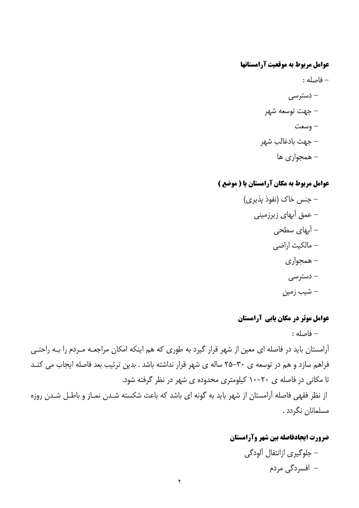### عوامل مربوط به موقعیت آرامستانها

- فاصله : – دسترسی – جهت توسعه شهر – وسعت – جهت بادغالب شهر – همجواري ها

## عوامل مربوط به مكان آرامستان يا ( موضع )

### عوامل موثر در مکان یابی آرامستان

– فاصله :

آرامستان باید در فاصله ای معین از شهر قرار گیرد به طوری که هم اینکه امکان مراجعـه مـردم را بـه راحتـی فراهم سازد و هم در توسعه ی ۳۰-۲۵ ساله ی شهر قرار نداشته باشد . بدین ترتیب بعد فاصله ایجاب می کنـد تا مکانی در فاصله ی ۲۰–۱۰ کیلومتری محدوده ی شهر در نظر گرفته شود. از نظر فقهی فاصله آرامستان از شهر باید به گونه ای باشد که باعث شکسته شـدن نمـاز و باطـل شـدن روزه مسلمانان نگردد .

## ضرورت ايجادفاصله بين شهر وآرامستان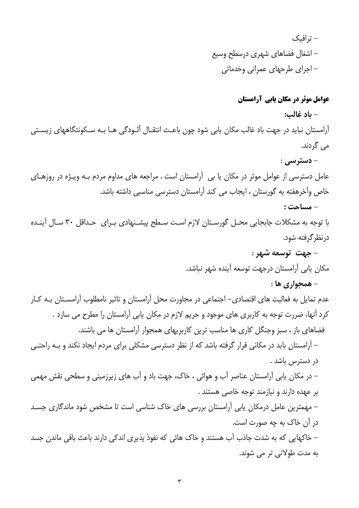– ترافیک – اشغال فضاهای شهری درسطح وسیع – اجرای طرحهای عمرانی وخدماتی

عوامل موثر در مکان یابی آرامستان

- باد غالب: آرامستان نباید در جهت باد غالب مکان یابی شود چون باعـث انتقـال آلـودگی هـا بـه سـکونتگاههای زیسـتی می گردند. **- دسترسي :** عامل دسترسی از عوامل موثر در مکان یا بی آرامستان است . مراجعه های مداوم مردم بـه ویـژه در روزهـای خاص وآخرهفته به گورستان ، ایجاب می کند آرامستان دسترسی مناسبی داشته باشد. - مساحت : با توجه به مشکلات جابجایی محـل گورسـتان لازم اسـت سـطح پیشـنهادی بـرای حـداقل ٣٠ سـال آینـده درنظر گرفته شود. - جهت توسعه شهر : مكان يابي آرامستان درجهت توسعه آينده شهر نباشد. - همجواري ها : عدم تمایل به فعالیت های اقتصادی– اجتماعی در مجاورت محل آرامستان و تاثیر نامطلوب آرامسـتان بـه کـار کرد آنها، ضررت توجه به کاربری های موجود و حریم لازم در مکان پابی آرامستان را مطرح می سازد . فضاهای باز ، سبز وجنگل کاری ها مناسب ترین کاربریهای همجوار آرامستان ها می باشند. – آرامستان باید در مکانی قرار گرفته باشد که از نظر دسترسی مشکلی برای مردم ایجاد نکند و بـه راحتـی در دسترس باشد . – در مکان یابی آرامستان عناصر آب و هوائی ، خاک، جهت باد و آب های زیرزمینی و سطحی نقش مهمی بر عهده دارند و نیازمند توجه خاصی هستند . – مهمترین عامل درمکان پابی آرامستان بررسی های خاک شناسی است تا مشخص شود ماندگاری جسـد در آن خاک به چه صورت است. – خاکهایی که به شدت جاذب آب هستند و خاک هائی که نفوذ پذیری اندکی دارند باعث باقی ماندن جسد به مدت طولانی تر می شوند.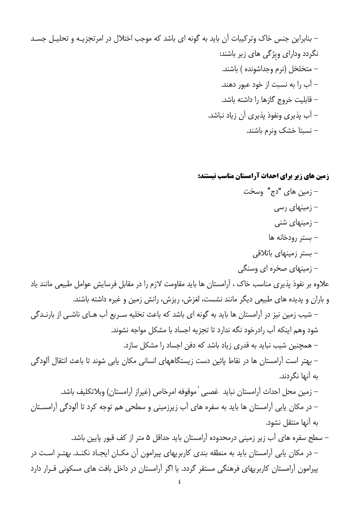– بنابراین جنس خاک وترکیبات آن باید به گونه ای باشد که موجب اختلال در امرتجزیـه و تحلیـل جسـد نگردد ودارای ویژگی های زیر باشند: – متخلخل (نرم وجداشونده ) باشند. – آب را به نسبت از خود عبور دهند. – قابلیت خروج گازها را داشته باشد. – آب پذیری ونفوذ پذیری آن زیاد نباشد. – نسبتا خشک ونرم باشند.

زمین های زیر برای احداث آرامستان مناسب نیستند:

– زمین های "دج" وسخت – زمینهای رسی – زمینهای شنی – بستر رودخانه ها – بستر زمینهای باتلاقی - زمینهای صخره ای وسنگی علاوه بر نفوذ پذیری مناسب خاک ، آرامستان ها باید مقاومت لازم را در مقابل فرسایش عوامل طبیعی مانند باد و باران و پدیده های طبیعی دیگر مانند نشست، لغزش، ریزش، رانش زمین و غیره داشته باشند. – شیب زمین نیز در آرامستان ها باید به گونه ای باشد که باعث تخلیه سـریع آب هـای ناشـی از بارنـدگی شود وهم اینکه آب رادرخود نگه ندارد تا تجزیه اجساد با مشکل مواجه نشوند. – همچنین شیب نباید به قدری زیاد باشد که دفن اجساد را مشکل سازد. – بهتر است آرامستان ها در نقاط پائین دست زیستگاههای انسانی مکان یابی شوند تا باعث انتقال آلودگی به آنها نگردند. – زمين محل احداث آرامستان نبايد غصبي ˈ موقوفه امرخاص (غيراز آرامستان) وبلاتكليف باشد. – در مکان یابی آرامستان ها باید به سفره های آب زیرزمینی و سطحی هم توجه کرد تا آلودگی آرامســتان به أنها منتقل نشود. – سطح سفره های آب زیر زمینی درمحدوده آرامستان باید حداقل ۵ متر از کف قبور پایین باشد. - در مکان یابی آرامستان باید به منطقه بندی کاربریهای پیرامون آن مکـان ایجـاد نکنـد. بهتـر اسـت در پیرامون آرامستان کاربریهای فرهنگی مستقر گردد. یا اگر آرامستان در داخل بافت های مسکونی قـرار دارد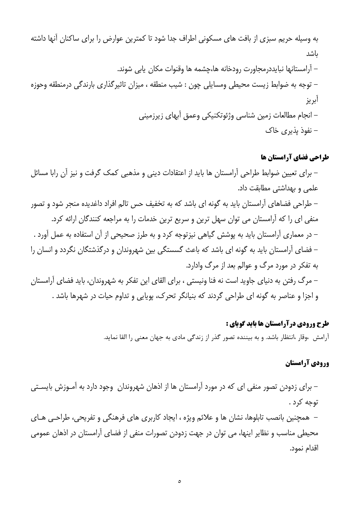به وسیله حریم سبزی از بافت های مسکونی اطراف جدا شود تا کمترین عوارض را برای ساکنان آنها داشته ىاشد – آرامستانها نبايددرمجاورت رودخانه ها،چشمه ها وقنوات مكان يابي شوند. – توجه به ضوابط زيست محيطي ومسايلي چون : شيب منطقه ، ميزان تاثيرگذاري بارندگي درمنطقه وحوزه آبريز – انجام مطالعات زمین شناسی وژئوتکنیکی وعمق آبهای زیرزمینی – نفوذ پذيري خاک

## طراحی فضای آرامستان ها

– برای تعیین ضوابط طراحی آرامستان ها باید از اعتقادات دینی و مذهبی کمک گرفت و نیز آن رابا مسائل علمی و بهداشتی مطابقت داد. – طراحی فضاهای آرامستان باید به گونه ای باشد که به تخفیف حس تالم افراد داغدیده منجر شود و تصور منفی ای را که آرامستان می توان سهل ترین و سریع ترین خدمات را به مراجعه کنندگان ارائه کرد. – در معماری آرامستان باید به پوشش گیاهی نیزتوجه کرد و به طرز صحیحی از آن استفاده به عمل آورد . – فضای آرامستان باید به گونه ای باشد که باعث گسستگی بین شهروندان و درگذشتگان نگردد و انسان را به تفکر در مورد مرگ و عوالم بعد از مرگ وادارد. – مرگ رفتن به دنیای جاوید است نه فنا ونیستی ، برای القای این تفکر به شهروندان، باید فضای آرامستان و اجزا و عناصر به گونه ای طراحی گردند که بنیانگر تحرک، پویایی و تداوم حیات در شهرها باشد .

#### طرح ورودي درآرامستان ها بايد گوياي :

آرامش ،وقار ،انتظار باشد. و به بیننده تصور گذر از زندگی مادی به جهان معنی را القا نماید.

## ورودي آرامستان

– برای زدودن تصور منفی ای که در مورد آرامستان ها از اذهان شهروندان ٍ وجود دارد به آمـوزش بایسـتی توجه کړد .

– همچنین بانصب تابلوها، نشان ها و علائم ویژه ، ایجاد کاربری های فرهنگی و تفریحی، طراحی هـای محیطی مناسب و نظایر اینها، می توان در جهت زدودن تصورات منفی از فضای آرامستان در اذهان عمومی اقدام نمود.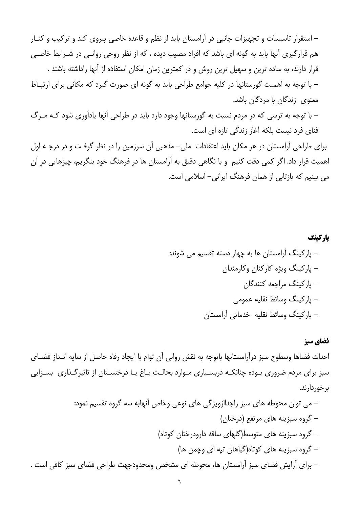– استقرار تاسیسات و تجهیزات جانبی در آرامستان باید از نظم و قاعده خاصی پیروی کند و ترکیب و کنـار هم قرارگیری آنها باید به گونه ای باشد که افراد مصیب دیده ، که از نظر روحی روانـی در شـرایط خاصـی قرار دارند، به ساده ترین و سهیل ترین روش و در کمترین زمان امکان استفاده از آنها راداشته باشند . – با توجه به اهمیت گورستانها در کلیه جوامع طراحی باید به گونه ای صورت گیرد که مکانی برای ارتباط معنوی زندگان با مردگان باشد. – با توجه به ترسی که در مردم نسبت به گورستانها وجود دارد باید در طراحی آنها یادآوری شود کـه مـرگ فنای فرد نیست بلکه آغاز زندگی تازه ای است. برای طراحی آرامستان در هر مکان باید اعتقادات ً ملی– مذهبی آن سرزمین را در نظر گرفت و در درجـه اول اهمیت قرار داد. اگر کمی دقت کنیم و با نگاهی دقیق به آرامستان ها در فرهنگ خود بنگریم، چیزهایی در آن می بینیم که بازتابی از همان فرهنگ ایرانی– اسلامی است.

## یارکینگ – پارکینگ آرامستان ها به چهار دسته تقسیم می شوند: – پارکینگ ویژه کارکنان وکارمندان – ياركينگ مراجعه كنندگان – ياركينگ وسائط نقليه عمومي – پارکینگ وسائط نقلیه خدماتی آرامستان

#### فضاي سبز

احداث فضاها وسطوح سبز درآرامستانها باتوجه به نقش رواني آن توام با ايجاد رفاه حاصل از سايه انـداز فضــاي سبز برای مردم ضروری بـوده چنانکـه دربسـیاری مـوارد بحالـت بـاغ پـا درختسـتان از تاثیرگـذاری بسـزایی بر خوږ دارند.

ست .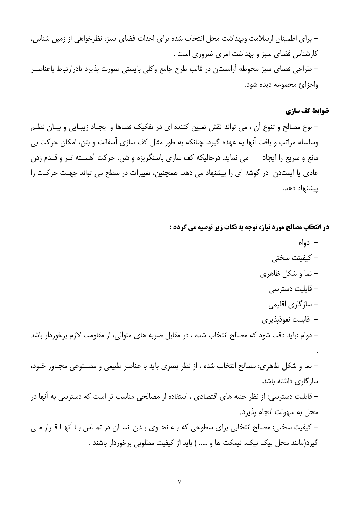– برای اطمینان ازسلامت وبهداشت محل انتخاب شده برای احداث فضای سبز، نظرخواهی از زمین شناس، كارشناس فضاى سبز و بهداشت امرى ضرورى است . – طراحی فضای سبز محوطه آرامستان در قالب طرح جامع وکلی بایستی صورت پذیرد تادرارتباط باعناصـر واجزائ مجموعه ديده شود.

#### ضوابط كف سازي

– نوع مصالح و تنوع آن ، می تواند نقش تعیین کننده ای در تفکیک فضاها و ایجـاد زیبـایی و بیـان نظـم وسلسله مراتب و بافت آنها به عهده گیرد. چنانکه به طور مثال کف سازی اَسفالت و بتن، امکان حرکت بی مانع و سریع را ایجاد می می نماید. درحالیکه کف سازی باسنگریزه و شن، حرکت آهسـته تـر و قـدم زدن عادی یا ایستادن در گوشه ای را پیشنهاد می دهد. همچنین، تغییرات در سطح می تواند جهت حرکت را پیشنهاد دهد.

#### در انتخاب مصالح مورد نیاز، توجه به نکات زیر توصیه می گردد :

– دوام – كيفيتت سختى نما و شکل ظاهری  $-$ – قابلیت دسترسی – ساز گاری اقلیمی – قابلیت نفوذیذیری – دوام :باید دقت شود که مصالح انتخاب شده ، در مقابل ضربه های متوالی، از مقاومت لازم برخوردار باشد – نما و شکل ظاهری: مصالح انتخاب شده ، از نظر بصری باید با عناصر طبیعی و مصـنوعی مجـاور خـود، سازگاری داشته باشد. – قابلیت دسترسی: از نظر جنبه های اقتصادی ، استفاده از مصالحی مناسب تر است که دسترسی به آنها در محل به سهولت انجام پذیرد. – کیفیت سختی: مصالح انتخابی برای سطوحی که بـه نحـوی بـدن انسـان در تمـاس بـا آنهـا قـرار مـی گیرد(مانند محل پیک نیک، نیمکت ها و ..... ) باید از کیفیت مطلوبی برخوردار باشند .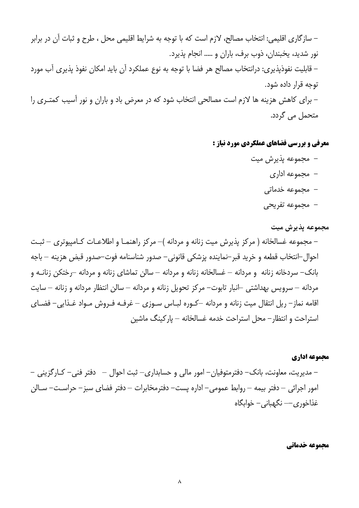– سازگاری اقلیمی: انتخاب مصالح، لازم است که با توجه به شرایط اقلیمی محل ، طرح و ثبات آن در برابر نور شدید، یخبندان، ذوب برف، باران و ..... انجام پذیرد. – قابلیت نفوذیذیری: درانتخاب مصالح هر فضا با توجه به نوع عملکرد اَن باید امکان نفوذ پذیری اَب مورد توجه قرار داده شود. – برای کاهش هزینه ها لازم است مصالحی انتخاب شود که در معرض باد و باران و نور آسیب کمتـری را متحمل می گردد.

معرفی و بررسی فضاهای عملکردی مورد نیاز :

- مجموعه يذيرش ميت
	- مجموعه اداری
	- مجموعه خدماتی
	- مجموعه تفريحي

مجموعه يذيرش ميت

– مجموعه غسالخانه ( مرکز پذیرش میت زنانه و مردانه )– مرکز راهنمـا و اطلاعـات کـامپیوتری – ثبـت احوال–انتخاب قطعه و خريد قبر–نماينده پزشكى قانونى– صدور شناسنامه فوت–صدور قبض هزينه – باجه بانک– سردخانه زنانه و مردانه – غسالخانه زنانه و مردانه – سالن تماشای زنانه و مردانه –رختکن زنانــه و مردانه – سرویس بهداشتی –انبار تابوت– مرکز تحویل زنانه و مردانه – سالن انتظار مردانه و زنانه – سایت اقامه نماز – ريل انتقال ميت زنانه و مردانه –كـوره لبـاس سـوزي – غرفـه فـروش مـواد غـذايي- فضـاي استراحت و انتظار – محل استراحت خدمه غسالخانه – ياركينگ ماشين

#### مجموعه اداري

– مدیریت، معاونت، بانک– دفترمتوفیان– امور مالی و حسابداری– ثبت احوال – دفتر فنی– کـارگزینی – امور اجرائی – دفتر بیمه – روابط عمومی– اداره پست– دفترمخابرات – دفتر فضای سبز– حراسـت– سـالن غذاخوري — نگهباني – خوابگاه

محموعه خدماتي